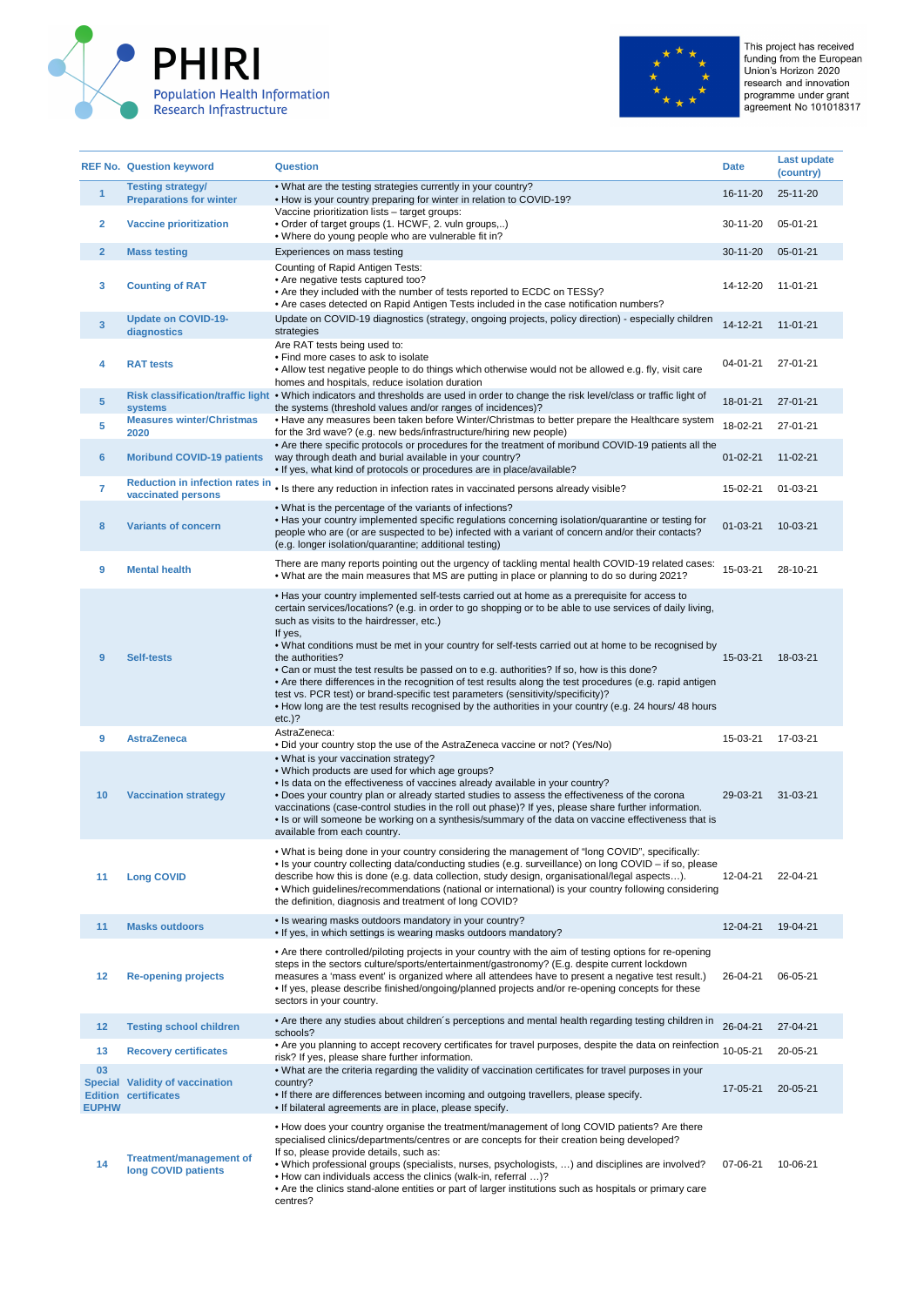



|                    | <b>REF No. Question keyword</b>                                       | <b>Question</b>                                                                                                                                                                                                                                                                                                                                                                                                                                                                                                                                                                                                                                                                                                                                                                                                 | <b>Date</b>    | Last update<br>(country) |
|--------------------|-----------------------------------------------------------------------|-----------------------------------------------------------------------------------------------------------------------------------------------------------------------------------------------------------------------------------------------------------------------------------------------------------------------------------------------------------------------------------------------------------------------------------------------------------------------------------------------------------------------------------------------------------------------------------------------------------------------------------------------------------------------------------------------------------------------------------------------------------------------------------------------------------------|----------------|--------------------------|
| 1                  | <b>Testing strategy/</b><br><b>Preparations for winter</b>            | . What are the testing strategies currently in your country?<br>. How is your country preparing for winter in relation to COVID-19?<br>Vaccine prioritization lists - target groups:                                                                                                                                                                                                                                                                                                                                                                                                                                                                                                                                                                                                                            | 16-11-20       | 25-11-20                 |
| 2                  | <b>Vaccine prioritization</b>                                         | • Order of target groups (1. HCWF, 2. vuln groups,)<br>. Where do young people who are vulnerable fit in?                                                                                                                                                                                                                                                                                                                                                                                                                                                                                                                                                                                                                                                                                                       | 30-11-20       | 05-01-21                 |
| $\overline{2}$     | <b>Mass testing</b>                                                   | Experiences on mass testing                                                                                                                                                                                                                                                                                                                                                                                                                                                                                                                                                                                                                                                                                                                                                                                     | $30 - 11 - 20$ | $05 - 01 - 21$           |
| 3                  | <b>Counting of RAT</b>                                                | Counting of Rapid Antigen Tests:<br>• Are negative tests captured too?<br>• Are they included with the number of tests reported to ECDC on TESSy?<br>• Are cases detected on Rapid Antigen Tests included in the case notification numbers?                                                                                                                                                                                                                                                                                                                                                                                                                                                                                                                                                                     | 14-12-20       | 11-01-21                 |
| 3                  | <b>Update on COVID-19-</b><br>diagnostics                             | Update on COVID-19 diagnostics (strategy, ongoing projects, policy direction) - especially children<br>strategies                                                                                                                                                                                                                                                                                                                                                                                                                                                                                                                                                                                                                                                                                               | 14-12-21       | $11 - 01 - 21$           |
| 4                  | <b>RAT tests</b>                                                      | Are RAT tests being used to:<br>• Find more cases to ask to isolate<br>• Allow test negative people to do things which otherwise would not be allowed e.g. fly, visit care<br>homes and hospitals, reduce isolation duration                                                                                                                                                                                                                                                                                                                                                                                                                                                                                                                                                                                    | 04-01-21       | 27-01-21                 |
| 5                  | systems                                                               | Risk classification/traffic light • Which indicators and thresholds are used in order to change the risk level/class or traffic light of<br>the systems (threshold values and/or ranges of incidences)?                                                                                                                                                                                                                                                                                                                                                                                                                                                                                                                                                                                                         | 18-01-21       | 27-01-21                 |
| 5                  | <b>Measures winter/Christmas</b><br>2020                              | • Have any measures been taken before Winter/Christmas to better prepare the Healthcare system<br>for the 3rd wave? (e.g. new beds/infrastructure/hiring new people)                                                                                                                                                                                                                                                                                                                                                                                                                                                                                                                                                                                                                                            | 18-02-21       | 27-01-21                 |
| 6                  | <b>Moribund COVID-19 patients</b>                                     | • Are there specific protocols or procedures for the treatment of moribund COVID-19 patients all the<br>way through death and burial available in your country?<br>. If yes, what kind of protocols or procedures are in place/available?                                                                                                                                                                                                                                                                                                                                                                                                                                                                                                                                                                       | $01 - 02 - 21$ | 11-02-21                 |
| 7                  | <b>Reduction in infection rates in</b><br>vaccinated persons          | • Is there any reduction in infection rates in vaccinated persons already visible?                                                                                                                                                                                                                                                                                                                                                                                                                                                                                                                                                                                                                                                                                                                              | 15-02-21       | $01 - 03 - 21$           |
| 8                  | <b>Variants of concern</b>                                            | . What is the percentage of the variants of infections?<br>• Has your country implemented specific regulations concerning isolation/quarantine or testing for<br>people who are (or are suspected to be) infected with a variant of concern and/or their contacts?<br>(e.g. longer isolation/quarantine; additional testing)                                                                                                                                                                                                                                                                                                                                                                                                                                                                                    | 01-03-21       | 10-03-21                 |
| 9                  | <b>Mental health</b>                                                  | There are many reports pointing out the urgency of tackling mental health COVID-19 related cases:<br>. What are the main measures that MS are putting in place or planning to do so during 2021?                                                                                                                                                                                                                                                                                                                                                                                                                                                                                                                                                                                                                | 15-03-21       | 28-10-21                 |
| 9                  | <b>Self-tests</b>                                                     | • Has your country implemented self-tests carried out at home as a prerequisite for access to<br>certain services/locations? (e.g. in order to go shopping or to be able to use services of daily living,<br>such as visits to the hairdresser, etc.)<br>If yes,<br>. What conditions must be met in your country for self-tests carried out at home to be recognised by<br>the authorities?<br>• Can or must the test results be passed on to e.g. authorities? If so, how is this done?<br>• Are there differences in the recognition of test results along the test procedures (e.g. rapid antigen<br>test vs. PCR test) or brand-specific test parameters (sensitivity/specificity)?<br>• How long are the test results recognised by the authorities in your country (e.g. 24 hours/ 48 hours<br>$etc.$ )? | 15-03-21       | 18-03-21                 |
| 9                  | <b>AstraZeneca</b>                                                    | AstraZeneca:<br>. Did your country stop the use of the AstraZeneca vaccine or not? (Yes/No)                                                                                                                                                                                                                                                                                                                                                                                                                                                                                                                                                                                                                                                                                                                     | 15-03-21       | 17-03-21                 |
| 10                 | <b>Vaccination strategy</b>                                           | . What is your vaccination strategy?<br>. Which products are used for which age groups?<br>. Is data on the effectiveness of vaccines already available in your country?<br>. Does your country plan or already started studies to assess the effectiveness of the corona<br>vaccinations (case-control studies in the roll out phase)? If yes, please share further information.<br>• Is or will someone be working on a synthesis/summary of the data on vaccine effectiveness that is<br>available from each country.                                                                                                                                                                                                                                                                                        | 29-03-21       | $31 - 03 - 21$           |
| 11                 | <b>Long COVID</b>                                                     | . What is being done in your country considering the management of "long COVID", specifically:<br>• Is your country collecting data/conducting studies (e.g. surveillance) on long COVID - if so, please<br>describe how this is done (e.g. data collection, study design, organisational/legal aspects).<br>• Which guidelines/recommendations (national or international) is your country following considering<br>the definition, diagnosis and treatment of long COVID?                                                                                                                                                                                                                                                                                                                                     | 12-04-21       | 22-04-21                 |
| 11                 | <b>Masks outdoors</b>                                                 | • Is wearing masks outdoors mandatory in your country?<br>. If yes, in which settings is wearing masks outdoors mandatory?                                                                                                                                                                                                                                                                                                                                                                                                                                                                                                                                                                                                                                                                                      | 12-04-21       | 19-04-21                 |
| 12                 | <b>Re-opening projects</b>                                            | • Are there controlled/piloting projects in your country with the aim of testing options for re-opening<br>steps in the sectors culture/sports/entertainment/gastronomy? (E.g. despite current lockdown<br>measures a 'mass event' is organized where all attendees have to present a negative test result.)<br>• If yes, please describe finished/ongoing/planned projects and/or re-opening concepts for these<br>sectors in your country.                                                                                                                                                                                                                                                                                                                                                                    | 26-04-21       | 06-05-21                 |
| 12                 | <b>Testing school children</b>                                        | • Are there any studies about children's perceptions and mental health regarding testing children in<br>schools?                                                                                                                                                                                                                                                                                                                                                                                                                                                                                                                                                                                                                                                                                                | 26-04-21       | 27-04-21                 |
| 13                 | <b>Recovery certificates</b>                                          | . Are you planning to accept recovery certificates for travel purposes, despite the data on reinfection<br>risk? If yes, please share further information.                                                                                                                                                                                                                                                                                                                                                                                                                                                                                                                                                                                                                                                      | 10-05-21       | 20-05-21                 |
| 03<br><b>EUPHW</b> | <b>Special Validity of vaccination</b><br><b>Edition certificates</b> | . What are the criteria regarding the validity of vaccination certificates for travel purposes in your<br>country?<br>• If there are differences between incoming and outgoing travellers, please specify.<br>. If bilateral agreements are in place, please specify.                                                                                                                                                                                                                                                                                                                                                                                                                                                                                                                                           | 17-05-21       | 20-05-21                 |
| 14                 | <b>Treatment/management of</b><br>long COVID patients                 | • How does your country organise the treatment/management of long COVID patients? Are there<br>specialised clinics/departments/centres or are concepts for their creation being developed?<br>If so, please provide details, such as:<br>. Which professional groups (specialists, nurses, psychologists, ) and disciplines are involved?<br>• How can individuals access the clinics (walk-in, referral )?<br>• Are the clinics stand-alone entities or part of larger institutions such as hospitals or primary care<br>centres?                                                                                                                                                                                                                                                                              | 07-06-21       | 10-06-21                 |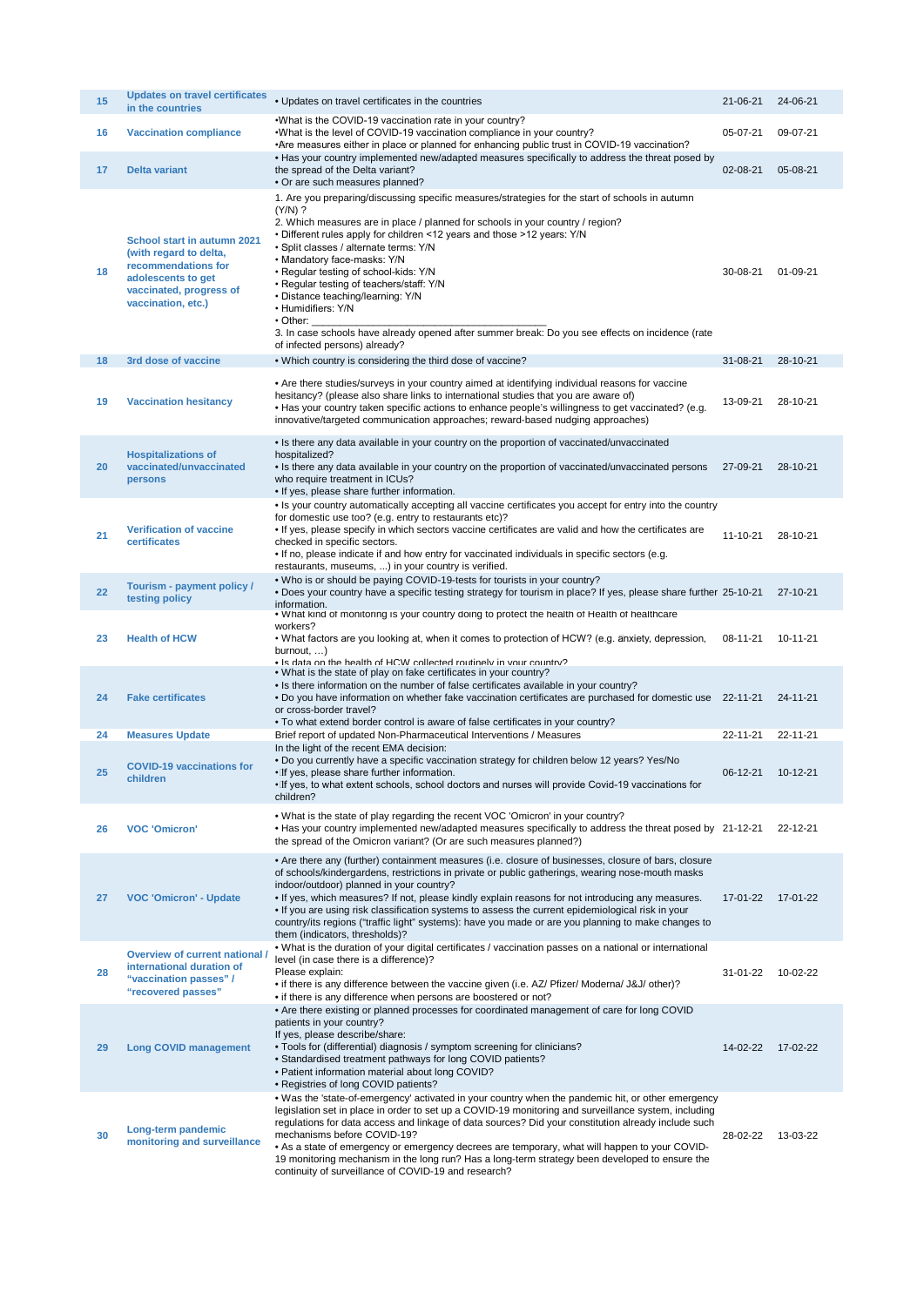| 15 | <b>Updates on travel certificates</b><br>in the countries                                                                                           | • Updates on travel certificates in the countries                                                                                                                                                                                                                                                                                                                                                                                                                                                                                                                                                                                                    | 21-06-21 | 24-06-21       |
|----|-----------------------------------------------------------------------------------------------------------------------------------------------------|------------------------------------------------------------------------------------------------------------------------------------------------------------------------------------------------------------------------------------------------------------------------------------------------------------------------------------------------------------------------------------------------------------------------------------------------------------------------------------------------------------------------------------------------------------------------------------------------------------------------------------------------------|----------|----------------|
| 16 | <b>Vaccination compliance</b>                                                                                                                       | . What is the COVID-19 vaccination rate in your country?<br>• What is the level of COVID-19 vaccination compliance in your country?<br>Are measures either in place or planned for enhancing public trust in COVID-19 vaccination?                                                                                                                                                                                                                                                                                                                                                                                                                   | 05-07-21 | 09-07-21       |
| 17 | <b>Delta variant</b>                                                                                                                                | • Has your country implemented new/adapted measures specifically to address the threat posed by<br>the spread of the Delta variant?<br>. Or are such measures planned?                                                                                                                                                                                                                                                                                                                                                                                                                                                                               | 02-08-21 | 05-08-21       |
| 18 | School start in autumn 2021<br>(with regard to delta,<br>recommendations for<br>adolescents to get<br>vaccinated, progress of<br>vaccination, etc.) | 1. Are you preparing/discussing specific measures/strategies for the start of schools in autumn<br>$(Y/N)$ ?<br>2. Which measures are in place / planned for schools in your country / region?<br>• Different rules apply for children <12 years and those >12 years: Y/N<br>· Split classes / alternate terms: Y/N<br>• Mandatory face-masks: Y/N<br>• Regular testing of school-kids: Y/N<br>• Regular testing of teachers/staff: Y/N<br>• Distance teaching/learning: Y/N<br>• Elumidifiers: Y/N<br>• Other:<br>3. In case schools have already opened after summer break: Do you see effects on incidence (rate<br>of infected persons) already? | 30-08-21 | $01 - 09 - 21$ |
| 18 | 3rd dose of vaccine                                                                                                                                 | . Which country is considering the third dose of vaccine?                                                                                                                                                                                                                                                                                                                                                                                                                                                                                                                                                                                            | 31-08-21 | 28-10-21       |
| 19 | <b>Vaccination hesitancy</b>                                                                                                                        | • Are there studies/surveys in your country aimed at identifying individual reasons for vaccine<br>hesitancy? (please also share links to international studies that you are aware of)<br>• Has your country taken specific actions to enhance people's willingness to get vaccinated? (e.g.<br>innovative/targeted communication approaches; reward-based nudging approaches)                                                                                                                                                                                                                                                                       | 13-09-21 | 28-10-21       |
| 20 | <b>Hospitalizations of</b><br>vaccinated/unvaccinated<br>persons                                                                                    | • Is there any data available in your country on the proportion of vaccinated/unvaccinated<br>hospitalized?<br>• Is there any data available in your country on the proportion of vaccinated/unvaccinated persons<br>who require treatment in ICUs?<br>• If yes, please share further information.                                                                                                                                                                                                                                                                                                                                                   | 27-09-21 | 28-10-21       |
| 21 | <b>Verification of vaccine</b><br>certificates                                                                                                      | • Is your country automatically accepting all vaccine certificates you accept for entry into the country<br>for domestic use too? (e.g. entry to restaurants etc)?<br>If yes, please specify in which sectors vaccine certificates are valid and how the certificates are<br>checked in specific sectors.<br>• If no, please indicate if and how entry for vaccinated individuals in specific sectors (e.g.<br>restaurants, museums, ) in your country is verified.                                                                                                                                                                                  | 11-10-21 | 28-10-21       |
| 22 | Tourism - payment policy /<br>testing policy                                                                                                        | . Who is or should be paying COVID-19-tests for tourists in your country?<br>• Does your country have a specific testing strategy for tourism in place? If yes, please share further 25-10-21<br>information.                                                                                                                                                                                                                                                                                                                                                                                                                                        |          | 27-10-21       |
| 23 | <b>Health of HCW</b>                                                                                                                                | • What kind of monitoring is your country doing to protect the health of Health of healthcare<br>workers?<br>• What factors are you looking at, when it comes to protection of HCW? (e.g. anxiety, depression,<br>$burnout, $ )<br>. Is data on the health of HCW collected routinely in your country?                                                                                                                                                                                                                                                                                                                                               | 08-11-21 | 10-11-21       |
| 24 | <b>Fake certificates</b>                                                                                                                            | • What is the state of play on fake certificates in your country?<br>• Is there information on the number of false certificates available in your country?<br>. Do you have information on whether fake vaccination certificates are purchased for domestic use 22-11-21<br>or cross-border travel?<br>• To what extend border control is aware of false certificates in your country?                                                                                                                                                                                                                                                               |          | 24-11-21       |
| 24 | <b>Measures Update</b>                                                                                                                              | Brief report of updated Non-Pharmaceutical Interventions / Measures                                                                                                                                                                                                                                                                                                                                                                                                                                                                                                                                                                                  | 22-11-21 | 22-11-21       |
| 25 | <b>COVID-19 vaccinations for</b><br>children                                                                                                        | In the light of the recent EMA decision:<br>. Do you currently have a specific vaccination strategy for children below 12 years? Yes/No<br>. If yes, please share further information.<br>· If yes, to what extent schools, school doctors and nurses will provide Covid-19 vaccinations for<br>children?                                                                                                                                                                                                                                                                                                                                            | 06-12-21 | 10-12-21       |
| 26 | <b>VOC</b> 'Omicron'                                                                                                                                | . What is the state of play regarding the recent VOC 'Omicron' in your country?<br>• Has your country implemented new/adapted measures specifically to address the threat posed by 21-12-21<br>the spread of the Omicron variant? (Or are such measures planned?)                                                                                                                                                                                                                                                                                                                                                                                    |          | 22-12-21       |
| 27 | <b>VOC 'Omicron' - Update</b>                                                                                                                       | • Are there any (further) containment measures (i.e. closure of businesses, closure of bars, closure<br>of schools/kindergardens, restrictions in private or public gatherings, wearing nose-mouth masks<br>indoor/outdoor) planned in your country?<br>. If yes, which measures? If not, please kindly explain reasons for not introducing any measures.<br>. If you are using risk classification systems to assess the current epidemiological risk in your<br>country/its regions ("traffic light" systems): have you made or are you planning to make changes to<br>them (indicators, thresholds)?                                              | 17-01-22 | 17-01-22       |
| 28 | Overview of current national<br>international duration of<br>"vaccination passes" /<br>"recovered passes"                                           | • What is the duration of your digital certificates / vaccination passes on a national or international<br>level (in case there is a difference)?<br>Please explain:<br>• if there is any difference between the vaccine given (i.e. AZ/ Pfizer/ Moderna/ J&J/ other)?<br>• if there is any difference when persons are boostered or not?                                                                                                                                                                                                                                                                                                            | 31-01-22 | 10-02-22       |
| 29 | <b>Long COVID management</b>                                                                                                                        | • Are there existing or planned processes for coordinated management of care for long COVID<br>patients in your country?<br>If yes, please describe/share:<br>. Tools for (differential) diagnosis / symptom screening for clinicians?<br>• Standardised treatment pathways for long COVID patients?<br>• Patient information material about long COVID?<br>• Registries of long COVID patients?                                                                                                                                                                                                                                                     | 14-02-22 | 17-02-22       |
| 30 | Long-term pandemic<br>monitoring and surveillance                                                                                                   | • Was the 'state-of-emergency' activated in your country when the pandemic hit, or other emergency<br>legislation set in place in order to set up a COVID-19 monitoring and surveillance system, including<br>regulations for data access and linkage of data sources? Did your constitution already include such<br>mechanisms before COVID-19?<br>• As a state of emergency or emergency decrees are temporary, what will happen to your COVID-<br>19 monitoring mechanism in the long run? Has a long-term strategy been developed to ensure the<br>continuity of surveillance of COVID-19 and research?                                          | 28-02-22 | 13-03-22       |